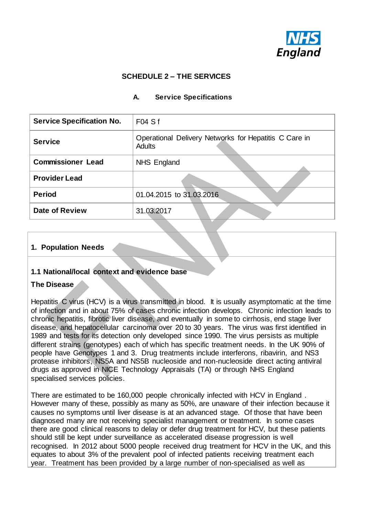

# **SCHEDULE 2 – THE SERVICES**

### **A. Service Specifications**

| <b>Service Specification No.</b> | FO4Sf                                                                  |
|----------------------------------|------------------------------------------------------------------------|
| <b>Service</b>                   | Operational Delivery Networks for Hepatitis C Care in<br><b>Adults</b> |
| <b>Commissioner Lead</b>         | NHS England                                                            |
| <b>Provider Lead</b>             |                                                                        |
| <b>Period</b>                    | 01.04.2015 to 31.03.2016                                               |
| <b>Date of Review</b>            | 31.03.2017                                                             |

# **1. Population Needs**

### **1.1 National/local context and evidence base**

#### **The Disease**

Hepatitis C virus (HCV) is a virus transmitted in blood. It is usually asymptomatic at the time of infection and in about 75% of cases chronic infection develops. Chronic infection leads to chronic hepatitis, fibrotic liver disease, and eventually in some to cirrhosis, end stage liver disease, and hepatocellular carcinoma over 20 to 30 years. The virus was first identified in 1989 and tests for its detection only developed since 1990. The virus persists as multiple different strains (genotypes) each of which has specific treatment needs. In the UK 90% of people have Genotypes 1 and 3. Drug treatments include interferons, ribavirin, and NS3 protease inhibitors, NS5A and NS5B nucleoside and non-nucleoside direct acting antiviral drugs as approved in NICE Technology Appraisals (TA) or through NHS England specialised services policies.

There are estimated to be 160,000 people chronically infected with HCV in England . However many of these, possibly as many as 50%, are unaware of their infection because it causes no symptoms until liver disease is at an advanced stage. Of those that have been diagnosed many are not receiving specialist management or treatment. In some cases there are good clinical reasons to delay or defer drug treatment for HCV, but these patients should still be kept under surveillance as accelerated disease progression is well recognised. In 2012 about 5000 people received drug treatment for HCV in the UK, and this equates to about 3% of the prevalent pool of infected patients receiving treatment each year. Treatment has been provided by a large number of non-specialised as well as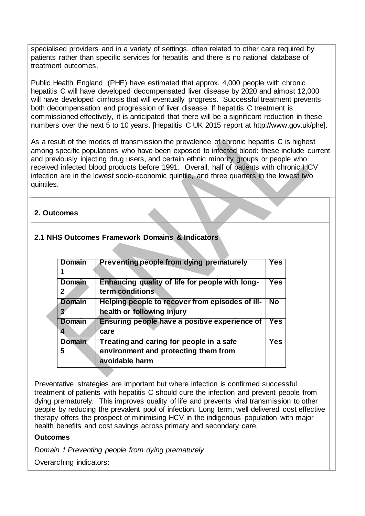specialised providers and in a variety of settings, often related to other care required by patients rather than specific services for hepatitis and there is no national database of treatment outcomes.

Public Health England (PHE) have estimated that approx. 4,000 people with chronic hepatitis C will have developed decompensated liver disease by 2020 and almost 12,000 will have developed cirrhosis that will eventually progress. Successful treatment prevents both decompensation and progression of liver disease. If hepatitis C treatment is commissioned effectively, it is anticipated that there will be a significant reduction in these numbers over the next 5 to 10 years. [Hepatitis C UK 2015 report at http://www.gov.uk/phe].

As a result of the modes of transmission the prevalence of chronic hepatitis C is highest among specific populations who have been exposed to infected blood: these include current and previously injecting drug users, and certain ethnic minority groups or people who received infected blood products before 1991. Overall, half of patients with chronic HCV infection are in the lowest socio-economic quintile, and three quarters in the lowest two quintiles.

### **2. Outcomes**

# **2.1 NHS Outcomes Framework Domains & Indicators**

| <b>Domain</b>      | Preventing people from dying prematurely                                                           | Yes.       |
|--------------------|----------------------------------------------------------------------------------------------------|------------|
|                    |                                                                                                    |            |
| <b>Domain</b><br>2 | Enhancing quality of life for people with long-<br>term conditions                                 | <b>Yes</b> |
| <b>Domain</b>      | Helping people to recover from episodes of ill-<br>health or following injury                      | <b>No</b>  |
| <b>Domain</b>      | Ensuring people have a positive experience of<br>care                                              | <b>Yes</b> |
| <b>Domain</b><br>5 | Treating and caring for people in a safe<br>environment and protecting them from<br>avoidable harm | Yes        |

Preventative strategies are important but where infection is confirmed successful treatment of patients with hepatitis C should cure the infection and prevent people from dying prematurely. This improves quality of life and prevents viral transmission to other people by reducing the prevalent pool of infection. Long term, well delivered cost effective therapy offers the prospect of minimising HCV in the indigenous population with major health benefits and cost savings across primary and secondary care.

#### **Outcomes**

*Domain 1 Preventing people from dying prematurely*

Overarching indicators: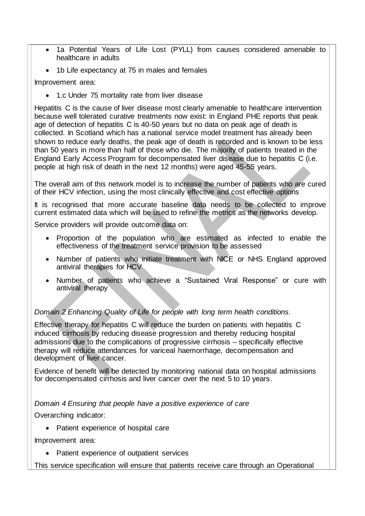- 1a Potential Years of Life Lost (PYLL) from causes considered amenable to healthcare in adults
- 1b Life expectancy at 75 in males and females

Improvement area:

• 1.c Under 75 mortality rate from liver disease

Hepatitis C is the cause of liver disease most clearly amenable to healthcare intervention because well tolerated curative treatments now exist: in England PHE reports that peak age of detection of hepatitis C is 40-50 years but no data on peak age of death is collected. In Scotland which has a national service model treatment has already been shown to reduce early deaths, the peak age of death is recorded and is known to be less than 50 years in more than half of those who die. The majority of patients treated in the England Early Access Program for decompensated liver disease due to hepatitis C (i.e. people at high risk of death in the next 12 months) were aged 45-55 years.

The overall aim of this network model is to increase the number of patients who are cured of their HCV infection, using the most clinically effective and cost effective options

It is recognised that more accurate baseline data needs to be collected to improve current estimated data which will be used to refine the metrics as the networks develop.

Service providers will provide outcome data on:

- Proportion of the population who are estimated as infected to enable the effectiveness of the treatment service provision to be assessed
- Number of patients who initiate treatment with NICE or NHS England approved antiviral therapies for HCV
- Number of patients who achieve a "Sustained Viral Response" or cure with antiviral therapy

*Domain 2 Enhancing Quality of Life for people with long term health conditions.*

Effective therapy for hepatitis C will reduce the burden on patients with hepatitis C induced cirrhosis by reducing disease progression and thereby reducing hospital admissions due to the complications of progressive cirrhosis – specifically effective therapy will reduce attendances for variceal haemorrhage, decompensation and development of liver cancer.

Evidence of benefit will be detected by monitoring national data on hospital admissions for decompensated cirrhosis and liver cancer over the next 5 to 10 years.

*Domain 4 Ensuring that people have a positive experience of care* 

Overarching indicator:

• Patient experience of hospital care

Improvement area:

• Patient experience of outpatient services

This service specification will ensure that patients receive care through an Operational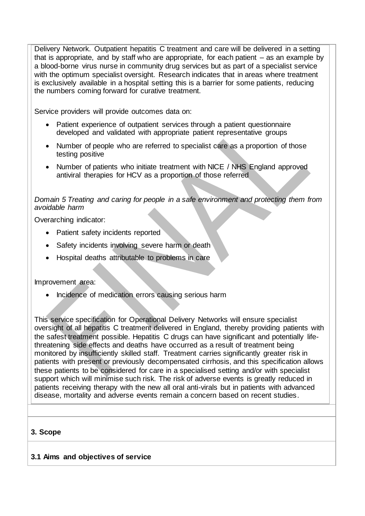Delivery Network. Outpatient hepatitis C treatment and care will be delivered in a setting that is appropriate, and by staff who are appropriate, for each patient – as an example by a blood-borne virus nurse in community drug services but as part of a specialist service with the optimum specialist oversight. Research indicates that in areas where treatment is exclusively available in a hospital setting this is a barrier for some patients, reducing the numbers coming forward for curative treatment.

Service providers will provide outcomes data on:

- Patient experience of outpatient services through a patient questionnaire developed and validated with appropriate patient representative groups
- Number of people who are referred to specialist care as a proportion of those testing positive
- Number of patients who initiate treatment with NICE / NHS England approved antiviral therapies for HCV as a proportion of those referred

### *Domain 5 Treating and caring for people in a safe environment and protecting them from avoidable harm*

Overarching indicator:

- Patient safety incidents reported
- Safety incidents involving severe harm or death
- Hospital deaths attributable to problems in care

Improvement area:

• Incidence of medication errors causing serious harm

This service specification for Operational Delivery Networks will ensure specialist oversight of all hepatitis C treatment delivered in England, thereby providing patients with the safest treatment possible. Hepatitis C drugs can have significant and potentially lifethreatening side effects and deaths have occurred as a result of treatment being monitored by insufficiently skilled staff. Treatment carries significantly greater risk in patients with present or previously decompensated cirrhosis, and this specification allows these patients to be considered for care in a specialised setting and/or with specialist support which will minimise such risk. The risk of adverse events is greatly reduced in patients receiving therapy with the new all oral anti-virals but in patients with advanced disease, mortality and adverse events remain a concern based on recent studies.

#### **3. Scope**

# **3.1 Aims and objectives of service**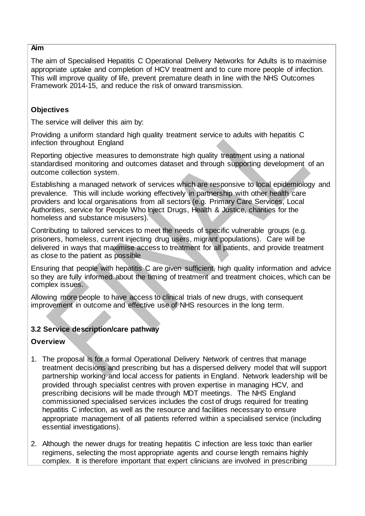### **Aim**

The aim of Specialised Hepatitis C Operational Delivery Networks for Adults is to maximise appropriate uptake and completion of HCV treatment and to cure more people of infection. This will improve quality of life, prevent premature death in line with the NHS Outcomes Framework 2014-15, and reduce the risk of onward transmission.

### **Objectives**

The service will deliver this aim by:

Providing a uniform standard high quality treatment service to adults with hepatitis C infection throughout England

Reporting objective measures to demonstrate high quality treatment using a national standardised monitoring and outcomes dataset and through supporting development of an outcome collection system.

Establishing a managed network of services which are responsive to local epidemiology and prevalence. This will include working effectively in partnership with other health care providers and local organisations from all sectors (e.g. Primary Care Services, Local Authorities, service for People Who Inject Drugs, Health & Justice, charities for the homeless and substance misusers).

Contributing to tailored services to meet the needs of specific vulnerable groups (e.g. prisoners, homeless, current injecting drug users, migrant populations). Care will be delivered in ways that maximise access to treatment for all patients, and provide treatment as close to the patient as possible

Ensuring that people with hepatitis C are given sufficient, high quality information and advice so they are fully informed about the timing of treatment and treatment choices, which can be complex issues.

Allowing more people to have access to clinical trials of new drugs, with consequent improvement in outcome and effective use of NHS resources in the long term.

### **3.2 Service description/care pathway**

#### **Overview**

- 1. The proposal is for a formal Operational Delivery Network of centres that manage treatment decisions and prescribing but has a dispersed delivery model that will support partnership working and local access for patients in England. Network leadership will be provided through specialist centres with proven expertise in managing HCV, and prescribing decisions will be made through MDT meetings. The NHS England commissioned specialised services includes the cost of drugs required for treating hepatitis C infection, as well as the resource and facilities necessary to ensure appropriate management of all patients referred within a specialised service (including essential investigations).
- 2. Although the newer drugs for treating hepatitis C infection are less toxic than earlier regimens, selecting the most appropriate agents and course length remains highly complex. It is therefore important that expert clinicians are involved in prescribing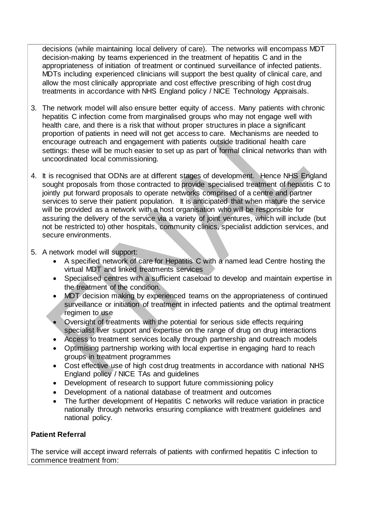decisions (while maintaining local delivery of care). The networks will encompass MDT decision-making by teams experienced in the treatment of hepatitis C and in the appropriateness of initiation of treatment or continued surveillance of infected patients. MDTs including experienced clinicians will support the best quality of clinical care, and allow the most clinically appropriate and cost effective prescribing of high cost drug treatments in accordance with NHS England policy / NICE Technology Appraisals.

- 3. The network model will also ensure better equity of access. Many patients with chronic hepatitis C infection come from marginalised groups who may not engage well with health care, and there is a risk that without proper structures in place a significant proportion of patients in need will not get access to care. Mechanisms are needed to encourage outreach and engagement with patients outside traditional health care settings: these will be much easier to set up as part of formal clinical networks than with uncoordinated local commissioning.
- 4. It is recognised that ODNs are at different stages of development. Hence NHS England sought proposals from those contracted to provide specialised treatment of hepatitis C to jointly put forward proposals to operate networks comprised of a centre and partner services to serve their patient population. It is anticipated that when mature the service will be provided as a network with a host organisation who will be responsible for assuring the delivery of the service via a variety of joint ventures, which will include (but not be restricted to) other hospitals, community clinics, specialist addiction services, and secure environments.
- 5. A network model will support:
	- A specified network of care for Hepatitis C with a named lead Centre hosting the virtual MDT and linked treatments services
	- Specialised centres with a sufficient caseload to develop and maintain expertise in the treatment of the condition.
	- MDT decision making by experienced teams on the appropriateness of continued surveillance or initiation of treatment in infected patients and the optimal treatment regimen to use
	- Oversight of treatments with the potential for serious side effects requiring specialist liver support and expertise on the range of drug on drug interactions
	- Access to treatment services locally through partnership and outreach models
	- Optimising partnership working with local expertise in engaging hard to reach groups in treatment programmes
	- Cost effective use of high cost drug treatments in accordance with national NHS England policy / NICE TAs and guidelines
	- Development of research to support future commissioning policy
	- Development of a national database of treatment and outcomes
	- The further development of Hepatitis C networks will reduce variation in practice nationally through networks ensuring compliance with treatment guidelines and national policy.

### **Patient Referral**

The service will accept inward referrals of patients with confirmed hepatitis C infection to commence treatment from: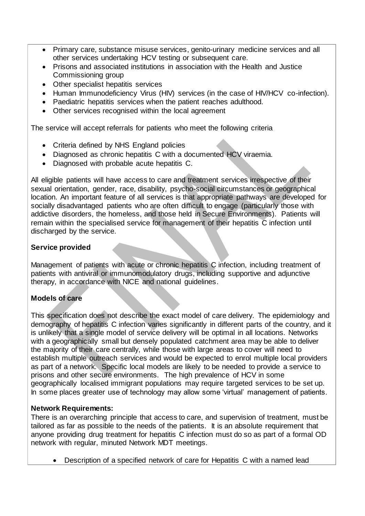- Primary care, substance misuse services, genito-urinary medicine services and all other services undertaking HCV testing or subsequent care.
- Prisons and associated institutions in association with the Health and Justice Commissioning group
- Other specialist hepatitis services
- Human Immunodeficiency Virus (HIV) services (in the case of HIV/HCV co-infection).
- Paediatric hepatitis services when the patient reaches adulthood.
- Other services recognised within the local agreement

The service will accept referrals for patients who meet the following criteria

- Criteria defined by NHS England policies
- Diagnosed as chronic hepatitis C with a documented HCV viraemia.
- Diagnosed with probable acute hepatitis C.

All eligible patients will have access to care and treatment services irrespective of their sexual orientation, gender, race, disability, psycho-social circumstances or geographical location. An important feature of all services is that appropriate pathways are developed for socially disadvantaged patients who are often difficult to engage (particularly those with addictive disorders, the homeless, and those held in Secure Environments). Patients will remain within the specialised service for management of their hepatitis C infection until discharged by the service.

# **Service provided**

Management of patients with acute or chronic hepatitis C infection, including treatment of patients with antiviral or immunomodulatory drugs, including supportive and adjunctive therapy, in accordance with NICE and national guidelines.

# **Models of care**

This specification does not describe the exact model of care delivery. The epidemiology and demography of hepatitis C infection varies significantly in different parts of the country, and it is unlikely that a single model of service delivery will be optimal in all locations. Networks with a geographically small but densely populated catchment area may be able to deliver the majority of their care centrally, while those with large areas to cover will need to establish multiple outreach services and would be expected to enrol multiple local providers as part of a network. Specific local models are likely to be needed to provide a service to prisons and other secure environments. The high prevalence of HCV in some geographically localised immigrant populations may require targeted services to be set up. In some places greater use of technology may allow some 'virtual' management of patients.

### **Network Requirements:**

There is an overarching principle that access to care, and supervision of treatment, must be tailored as far as possible to the needs of the patients. It is an absolute requirement that anyone providing drug treatment for hepatitis C infection must do so as part of a formal OD network with regular, minuted Network MDT meetings.

Description of a specified network of care for Hepatitis C with a named lead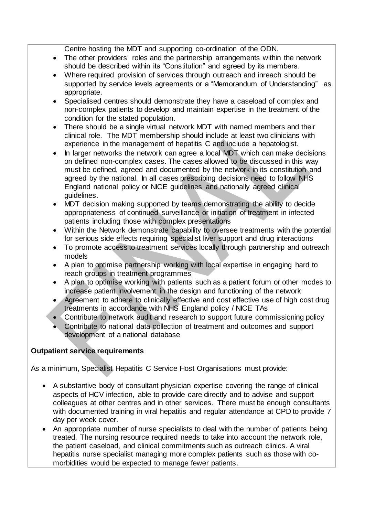Centre hosting the MDT and supporting co-ordination of the ODN.

- The other providers' roles and the partnership arrangements within the network should be described within its "Constitution" and agreed by its members.
- Where required provision of services through outreach and inreach should be supported by service levels agreements or a "Memorandum of Understanding" as appropriate.
- Specialised centres should demonstrate they have a caseload of complex and non-complex patients to develop and maintain expertise in the treatment of the condition for the stated population.
- There should be a single virtual network MDT with named members and their clinical role. The MDT membership should include at least two clinicians with experience in the management of hepatitis C and include a hepatologist.
- In larger networks the network can agree a local MDT which can make decisions on defined non-complex cases. The cases allowed to be discussed in this way must be defined, agreed and documented by the network in its constitution and agreed by the national. In all cases prescribing decisions need to follow NHS England national policy or NICE guidelines and nationally agreed clinical guidelines.
- MDT decision making supported by teams demonstrating the ability to decide appropriateness of continued surveillance or initiation of treatment in infected patients including those with complex presentations
- Within the Network demonstrate capability to oversee treatments with the potential for serious side effects requiring specialist liver support and drug interactions
- To promote access to treatment services locally through partnership and outreach models
- A plan to optimise partnership working with local expertise in engaging hard to reach groups in treatment programmes
- A plan to optimise working with patients such as a patient forum or other modes to increase patient involvement in the design and functioning of the network
- Agreement to adhere to clinically effective and cost effective use of high cost drug treatments in accordance with NHS England policy / NICE TAs
- Contribute to network audit and research to support future commissioning policy
- Contribute to national data collection of treatment and outcomes and support development of a national database

# **Outpatient service requirements**

As a minimum, Specialist Hepatitis C Service Host Organisations must provide:

- A substantive body of consultant physician expertise covering the range of clinical aspects of HCV infection, able to provide care directly and to advise and support colleagues at other centres and in other services. There must be enough consultants with documented training in viral hepatitis and regular attendance at CPD to provide 7 day per week cover.
- An appropriate number of nurse specialists to deal with the number of patients being treated. The nursing resource required needs to take into account the network role, the patient caseload, and clinical commitments such as outreach clinics. A viral hepatitis nurse specialist managing more complex patients such as those with comorbidities would be expected to manage fewer patients.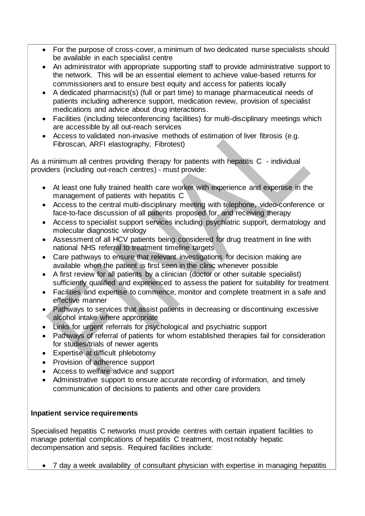- For the purpose of cross-cover, a minimum of two dedicated nurse specialists should be available in each specialist centre
- An administrator with appropriate supporting staff to provide administrative support to the network. This will be an essential element to achieve value-based returns for commissioners and to ensure best equity and access for patients locally
- A dedicated pharmacist(s) (full or part time) to manage pharmaceutical needs of patients including adherence support, medication review, provision of specialist medications and advice about drug interactions.
- Facilities (including teleconferencing facilities) for multi-disciplinary meetings which are accessible by all out-reach services
- Access to validated non-invasive methods of estimation of liver fibrosis (e.g. Fibroscan, ARFI elastography, Fibrotest)

As a minimum all centres providing therapy for patients with hepatitis C - individual providers (including out-reach centres) - must provide:

- At least one fully trained health care worker with experience and expertise in the management of patients with hepatitis C
- Access to the central multi-disciplinary meeting with telephone, video-conference or face-to-face discussion of all patients proposed for, and receiving therapy
- Access to specialist support services including psychiatric support, dermatology and molecular diagnostic virology
- Assessment of all HCV patients being considered for drug treatment in line with national NHS referral to treatment timeline targets
- Care pathways to ensure that relevant investigations for decision making are available when the patient is first seen in the clinic whenever possible
- A first review for all patients by a clinician (doctor or other suitable specialist) sufficiently qualified and experienced to assess the patient for suitability for treatment
- Facilities and expertise to commence, monitor and complete treatment in a safe and effective manner
- Pathways to services that assist patients in decreasing or discontinuing excessive alcohol intake where appropriate
- Links for urgent referrals for psychological and psychiatric support
- Pathways of referral of patients for whom established therapies fail for consideration for studies/trials of newer agents
- Expertise at difficult phlebotomy
- Provision of adherence support
- Access to welfare advice and support
- Administrative support to ensure accurate recording of information, and timely communication of decisions to patients and other care providers

### **Inpatient service requirements**

Specialised hepatitis C networks must provide centres with certain inpatient facilities to manage potential complications of hepatitis C treatment, most notably hepatic decompensation and sepsis. Required facilities include:

7 day a week availability of consultant physician with expertise in managing hepatitis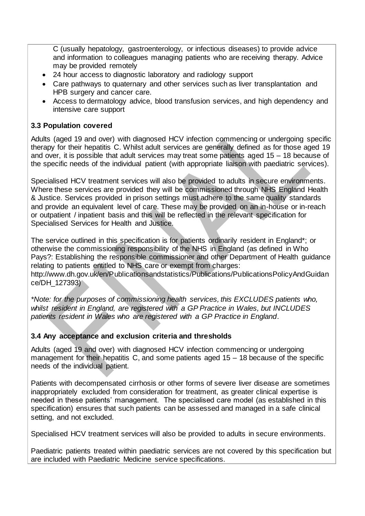C (usually hepatology, gastroenterology, or infectious diseases) to provide advice and information to colleagues managing patients who are receiving therapy. Advice may be provided remotely

- 24 hour access to diagnostic laboratory and radiology support
- Care pathways to quaternary and other services such as liver transplantation and HPB surgery and cancer care.
- Access to dermatology advice, blood transfusion services, and high dependency and intensive care support

### **3.3 Population covered**

Adults (aged 19 and over) with diagnosed HCV infection commencing or undergoing specific therapy for their hepatitis C. Whilst adult services are generally defined as for those aged 19 and over, it is possible that adult services may treat some patients aged 15 – 18 because of the specific needs of the individual patient (with appropriate liaison with paediatric services).

Specialised HCV treatment services will also be provided to adults in secure environments. Where these services are provided they will be commissioned through NHS England Health & Justice. Services provided in prison settings must adhere to the same quality standards and provide an equivalent level of care. These may be provided on an in-house or in-reach or outpatient / inpatient basis and this will be reflected in the relevant specification for Specialised Services for Health and Justice.

The service outlined in this specification is for patients ordinarily resident in England\*; or otherwise the commissioning responsibility of the NHS in England (as defined in Who Pays?: Establishing the responsible commissioner and other Department of Health guidance relating to patients entitled to NHS care or exempt from charges:

[http://www.dh.gov.uk/en/Publicationsandstatistics/Publications/PublicationsPolicyAndGuidan](http://www.dh.gov.uk/en/Publicationsandstatistics/Publications/PublicationsPolicyAndGuidance/DH_127393) [ce/DH\\_127393\)](http://www.dh.gov.uk/en/Publicationsandstatistics/Publications/PublicationsPolicyAndGuidance/DH_127393)

*\*Note: for the purposes of commissioning health services, this EXCLUDES patients who, whilst resident in England, are registered with a GP Practice in Wales, but INCLUDES patients resident in Wales who are registered with a GP Practice in England*.

### **3.4 Any acceptance and exclusion criteria and thresholds**

Adults (aged 19 and over) with diagnosed HCV infection commencing or undergoing management for their hepatitis C, and some patients aged 15 – 18 because of the specific needs of the individual patient.

Patients with decompensated cirrhosis or other forms of severe liver disease are sometimes inappropriately excluded from consideration for treatment, as greater clinical expertise is needed in these patients' management. The specialised care model (as established in this specification) ensures that such patients can be assessed and managed in a safe clinical setting, and not excluded.

Specialised HCV treatment services will also be provided to adults in secure environments.

Paediatric patients treated within paediatric services are not covered by this specification but are included with Paediatric Medicine service specifications.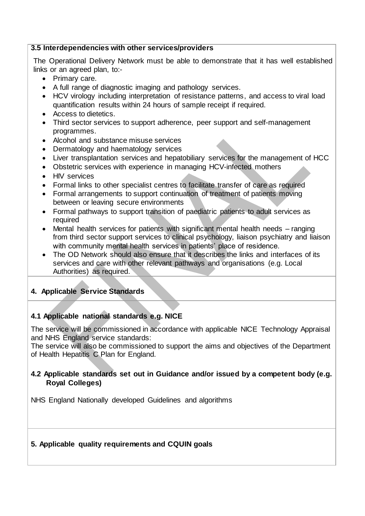#### **3.5 Interdependencies with other services/providers**

The Operational Delivery Network must be able to demonstrate that it has well established links or an agreed plan, to:-

- Primary care.
- A full range of diagnostic imaging and pathology services.
- HCV virology including interpretation of resistance patterns, and access to viral load quantification results within 24 hours of sample receipt if required.
- Access to dietetics.
- Third sector services to support adherence, peer support and self-management programmes.
- Alcohol and substance misuse services
- Dermatology and haematology services
- Liver transplantation services and hepatobiliary services for the management of HCC
- Obstetric services with experience in managing HCV-infected mothers
- HIV services
- Formal links to other specialist centres to facilitate transfer of care as required
- Formal arrangements to support continuation of treatment of patients moving between or leaving secure environments
- Formal pathways to support transition of paediatric patients to adult services as required
- Mental health services for patients with significant mental health needs ranging from third sector support services to clinical psychology, liaison psychiatry and liaison with community mental health services in patients' place of residence.
- The OD Network should also ensure that it describes the links and interfaces of its services and care with other relevant pathways and organisations (e.g. Local Authorities) as required.

### **4. Applicable Service Standards**

### **4.1 Applicable national standards e.g. NICE**

The service will be commissioned in accordance with applicable NICE Technology Appraisal and NHS England service standards:

The service will also be commissioned to support the aims and objectives of the Department of Health Hepatitis C Plan for England.

### **4.2 Applicable standards set out in Guidance and/or issued by a competent body (e.g. Royal Colleges)**

NHS England Nationally developed Guidelines and algorithms

### **5. Applicable quality requirements and CQUIN goals**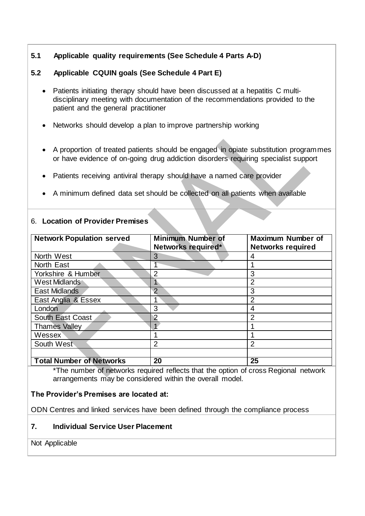# **5.1 Applicable quality requirements (See Schedule 4 Parts A-D)**

# **5.2 Applicable CQUIN goals (See Schedule 4 Part E)**

- Patients initiating therapy should have been discussed at a hepatitis C multidisciplinary meeting with documentation of the recommendations provided to the patient and the general practitioner
- Networks should develop a plan to improve partnership working
- A proportion of treated patients should be engaged in opiate substitution programmes or have evidence of on-going drug addiction disorders requiring specialist support
- Patients receiving antiviral therapy should have a named care provider
- A minimum defined data set should be collected on all patients when available

### 6. **Location of Provider Premises**

| <b>Network Population served</b> | <b>Minimum Number of</b><br>Networks required* | <b>Maximum Number of</b><br><b>Networks required</b> |
|----------------------------------|------------------------------------------------|------------------------------------------------------|
| North West                       | 3                                              | 4                                                    |
| North East                       |                                                |                                                      |
| Yorkshire & Humber               | 2                                              | 3                                                    |
| West Midlands                    |                                                | $\overline{2}$                                       |
| <b>East Midlands</b>             | $\overline{2}$                                 | 3                                                    |
| East Anglia & Essex              |                                                | $\overline{2}$                                       |
| London                           | 3                                              | 4                                                    |
| South East Coast                 | 2                                              | $\overline{2}$                                       |
| <b>Thames Valley</b>             |                                                |                                                      |
| Wessex                           |                                                |                                                      |
| South West                       | $\overline{2}$                                 | $\overline{2}$                                       |
|                                  |                                                |                                                      |
| <b>Total Number of Networks</b>  | 20                                             | 25                                                   |

\*The number of networks required reflects that the option of cross Regional network arrangements may be considered within the overall model.

### **The Provider's Premises are located at:**

ODN Centres and linked services have been defined through the compliance process

# **7. Individual Service User Placement**

Not Applicable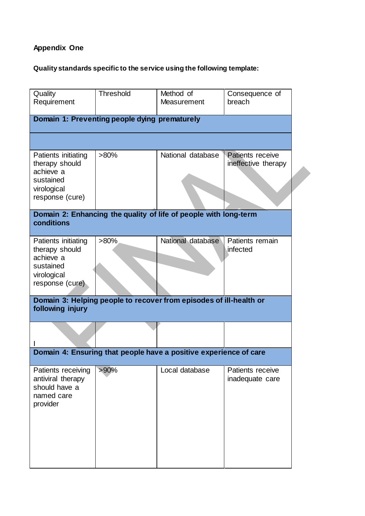# **Appendix One**

# **Quality standards specific to the service using the following template:**

| Quality<br>Requirement                                                                            | <b>Threshold</b> | Method of<br>Measurement                                          | Consequence of<br>breach                |  |  |
|---------------------------------------------------------------------------------------------------|------------------|-------------------------------------------------------------------|-----------------------------------------|--|--|
| Domain 1: Preventing people dying prematurely                                                     |                  |                                                                   |                                         |  |  |
|                                                                                                   |                  |                                                                   |                                         |  |  |
| Patients initiating<br>therapy should<br>achieve a<br>sustained<br>virological<br>response (cure) | $>80\%$          | National database                                                 | Patients receive<br>ineffective therapy |  |  |
| Domain 2: Enhancing the quality of life of people with long-term<br>conditions                    |                  |                                                                   |                                         |  |  |
| Patients initiating<br>therapy should<br>achieve a<br>sustained<br>virological<br>response (cure) | $>80\%$          | National database                                                 | Patients remain<br>infected             |  |  |
| Domain 3: Helping people to recover from episodes of ill-health or<br>following injury            |                  |                                                                   |                                         |  |  |
|                                                                                                   |                  |                                                                   |                                         |  |  |
|                                                                                                   |                  | Domain 4: Ensuring that people have a positive experience of care |                                         |  |  |
| Patients receiving<br>antiviral therapy<br>should have a<br>named care<br>provider                | $>90\%$          | Local database                                                    | Patients receive<br>inadequate care     |  |  |